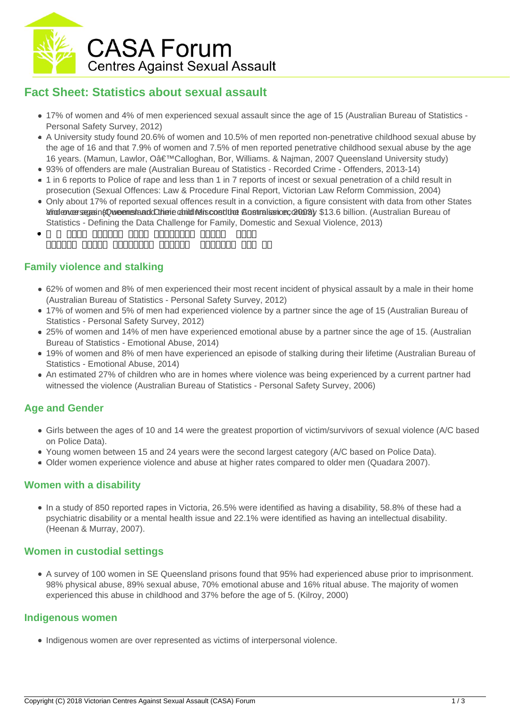

# **Fact Sheet: Statistics about sexual assault**

- 17% of women and 4% of men experienced sexual assault since the age of 15 (Australian Bureau of Statistics Personal Safety Survey, 2012)
- A University study found 20.6% of women and 10.5% of men reported non-penetrative childhood sexual abuse by the age of 16 and that 7.9% of women and 7.5% of men reported penetrative childhood sexual abuse by the age 16 years. (Mamun, Lawlor, O'Calloghan, Bor, Williams, & Naiman, 2007 Queensland University study)
- 93% of offenders are male (Australian Bureau of Statistics Recorded Crime Offenders, 2013-14)
- 1 in 6 reports to Police of rape and less than 1 in 7 reports of incest or sexual penetration of a child result in prosecution (Sexual Offences: Law & Procedure Final Report, Victorian Law Reform Commission, 2004)
- Only about 17% of reported sexual offences result in a conviction, a figure consistent with data from other States and enverse and product Crime and Crime and Music Conduct Contral Extract and y \$13.6 billion. (Australian Bureau of Statistics - Defining the Data Challenge for Family, Domestic and Sexual Violence, 2013)
- *ㄵ┠潦⁷潭敮慤敥渠獥硵慬汹獳慵汴敤礠愠歮潷渠灥牳潮潭灡牥搠瑯‴┠睨漠睥牥 慳獡畬瑥搠批瑲慮来爠⡁畳瑲慬楡渠䉵牥慵映却慴楳瑩捳⁐敲獯湡氠卡晥瑹⁓畲癥礬′〱㈩*

## **Family violence and stalking**

- 62% of women and 8% of men experienced their most recent incident of physical assault by a male in their home (Australian Bureau of Statistics - Personal Safety Survey, 2012)
- 17% of women and 5% of men had experienced violence by a partner since the age of 15 (Australian Bureau of Statistics - Personal Safety Survey, 2012)
- 25% of women and 14% of men have experienced emotional abuse by a partner since the age of 15. (Australian Bureau of Statistics - Emotional Abuse, 2014)
- 19% of women and 8% of men have experienced an episode of stalking during their lifetime (Australian Bureau of Statistics - Emotional Abuse, 2014)
- An estimated 27% of children who are in homes where violence was being experienced by a current partner had witnessed the violence (Australian Bureau of Statistics - Personal Safety Survey, 2006)

## **Age and Gender**

- Girls between the ages of 10 and 14 were the greatest proportion of victim/survivors of sexual violence (A/C based on Police Data).
- Young women between 15 and 24 years were the second largest category (A/C based on Police Data).
- Older women experience violence and abuse at higher rates compared to older men (Quadara 2007).

### **Women with a disability**

In a study of 850 reported rapes in Victoria, 26.5% were identified as having a disability, 58.8% of these had a psychiatric disability or a mental health issue and 22.1% were identified as having an intellectual disability. (Heenan & Murray, 2007).

### **Women in custodial settings**

A survey of 100 women in SE Queensland prisons found that 95% had experienced abuse prior to imprisonment. 98% physical abuse, 89% sexual abuse, 70% emotional abuse and 16% ritual abuse. The majority of women experienced this abuse in childhood and 37% before the age of 5. (Kilroy, 2000)

#### **Indigenous women**

• Indigenous women are over represented as victims of interpersonal violence.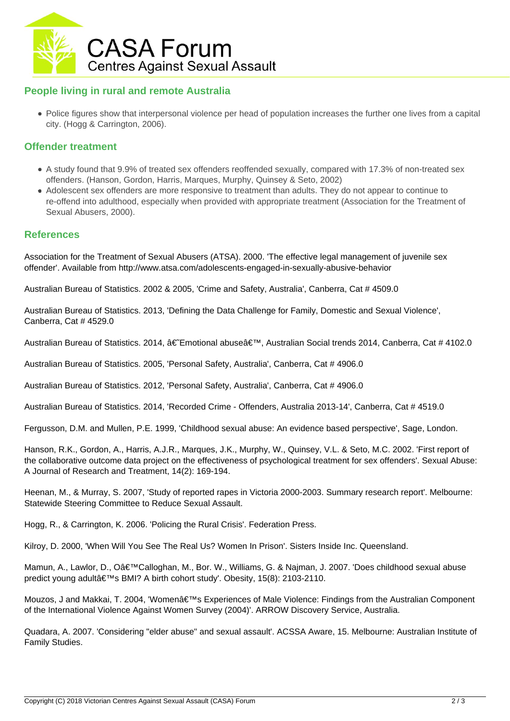

### **People living in rural and remote Australia**

Police figures show that interpersonal violence per head of population increases the further one lives from a capital city. (Hogg & Carrington, 2006).

#### **Offender treatment**

- A study found that 9.9% of treated sex offenders reoffended sexually, compared with 17.3% of non-treated sex offenders. (Hanson, Gordon, Harris, Marques, Murphy, Quinsey & Seto, 2002)
- Adolescent sex offenders are more responsive to treatment than adults. They do not appear to continue to re-offend into adulthood, especially when provided with appropriate treatment (Association for the Treatment of Sexual Abusers, 2000).

#### **References**

Association for the Treatment of Sexual Abusers (ATSA). 2000. 'The effective legal management of juvenile sex offender'. Available from http://www.atsa.com/adolescents-engaged-in-sexually-abusive-behavior

Australian Bureau of Statistics. 2002 & 2005, 'Crime and Safety, Australia', Canberra, Cat # 4509.0

Australian Bureau of Statistics. 2013, 'Defining the Data Challenge for Family, Domestic and Sexual Violence', Canberra, Cat # 4529.0

Australian Bureau of Statistics. 2014,  $\hat{a} \in \mathbb{R}^n$  abuse $\hat{a} \in \mathbb{R}^n$ , Australian Social trends 2014, Canberra, Cat # 4102.0

Australian Bureau of Statistics. 2005, 'Personal Safety, Australia', Canberra, Cat # 4906.0

Australian Bureau of Statistics. 2012, 'Personal Safety, Australia', Canberra, Cat # 4906.0

Australian Bureau of Statistics. 2014, 'Recorded Crime - Offenders, Australia 2013-14', Canberra, Cat # 4519.0

Fergusson, D.M. and Mullen, P.E. 1999, 'Childhood sexual abuse: An evidence based perspective', Sage, London.

Hanson, R.K., Gordon, A., Harris, A.J.R., Marques, J.K., Murphy, W., Quinsey, V.L. & Seto, M.C. 2002. 'First report of the collaborative outcome data project on the effectiveness of psychological treatment for sex offenders'. Sexual Abuse: A Journal of Research and Treatment, 14(2): 169-194.

Heenan, M., & Murray, S. 2007, 'Study of reported rapes in Victoria 2000-2003. Summary research report'. Melbourne: Statewide Steering Committee to Reduce Sexual Assault.

Hogg, R., & Carrington, K. 2006. 'Policing the Rural Crisis'. Federation Press.

Kilroy, D. 2000, 'When Will You See The Real Us? Women In Prison'. Sisters Inside Inc. Queensland.

Mamun, A., Lawlor, D., O'Calloghan, M., Bor. W., Williams, G. & Najman, J. 2007. 'Does childhood sexual abuse predict young adult's BMI? A birth cohort study'. Obesity, 15(8): 2103-2110.

Mouzos, J and Makkai, T. 2004, 'Women's Experiences of Male Violence: Findings from the Australian Component of the International Violence Against Women Survey (2004)'. ARROW Discovery Service, Australia.

Quadara, A. 2007. 'Considering "elder abuse" and sexual assault'. ACSSA Aware, 15. Melbourne: Australian Institute of Family Studies.